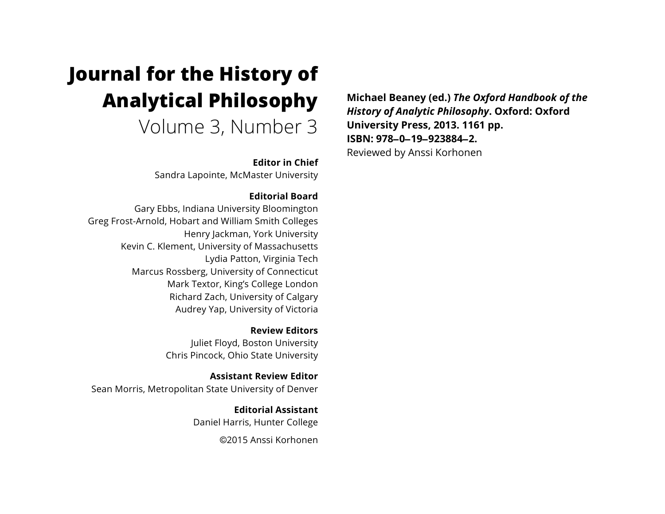# **Journal for the History of Analytical Philosophy**

Volume 3, Number 3

**Editor in Chief**

Sandra Lapointe, McMaster University

### **Editorial Board**

Gary Ebbs, Indiana University Bloomington Greg Frost-Arnold, Hobart and William Smith Colleges Henry Jackman, York University Kevin C. Klement, University of Massachusetts Lydia Patton, Virginia Tech Marcus Rossberg, University of Connecticut Mark Textor, King's College London Richard Zach, University of Calgary Audrey Yap, University of Victoria

> **Review Editors** Juliet Floyd, Boston University Chris Pincock, Ohio State University

**Assistant Review Editor** Sean Morris, Metropolitan State University of Denver

> **Editorial Assistant** Daniel Harris, Hunter College

> > ©2015 Anssi Korhonen

**Michael Beaney (ed.)** *The Oxford Handbook of the History of Analytic Philosophy***. Oxford: Oxford University Press, 2013. 1161 pp. ISBN: 978**–**0**–**19**–**923884**–**2.** Reviewed by Anssi Korhonen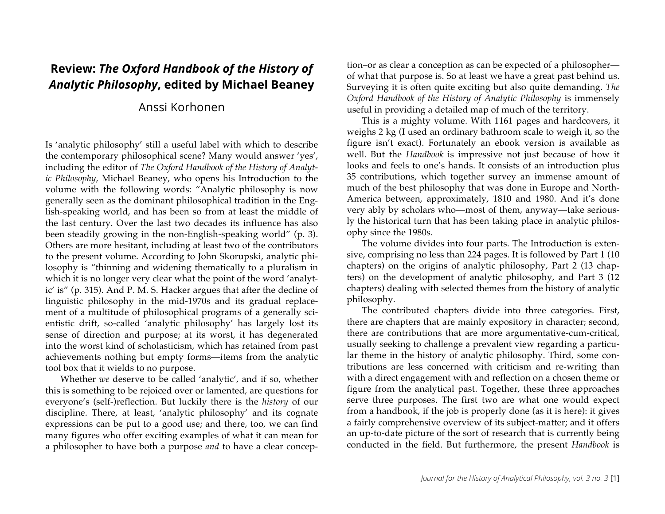# **Review:** *The Oxford Handbook of the History of Analytic Philosophy***, edited by Michael Beaney**

## Anssi Korhonen

Is 'analytic philosophy' still a useful label with which to describe the contemporary philosophical scene? Many would answer 'yes', including the editor of *The Oxford Handbook of the History of Analytic Philosophy*, Michael Beaney, who opens his Introduction to the volume with the following words: "Analytic philosophy is now generally seen as the dominant philosophical tradition in the English-speaking world, and has been so from at least the middle of the last century. Over the last two decades its influence has also been steadily growing in the non-English-speaking world" (p. 3). Others are more hesitant, including at least two of the contributors to the present volume. According to John Skorupski, analytic philosophy is "thinning and widening thematically to a pluralism in which it is no longer very clear what the point of the word 'analytic' is" (p. 315). And P. M. S. Hacker argues that after the decline of linguistic philosophy in the mid-1970s and its gradual replacement of a multitude of philosophical programs of a generally scientistic drift, so-called 'analytic philosophy' has largely lost its sense of direction and purpose; at its worst, it has degenerated into the worst kind of scholasticism, which has retained from past achievements nothing but empty forms—items from the analytic tool box that it wields to no purpose.

Whether *we* deserve to be called 'analytic', and if so, whether this is something to be rejoiced over or lamented, are questions for everyone's (self-)reflection. But luckily there is the *history* of our discipline. There, at least, 'analytic philosophy' and its cognate expressions can be put to a good use; and there, too, we can find many figures who offer exciting examples of what it can mean for a philosopher to have both a purpose *and* to have a clear concep-

tion–or as clear a conception as can be expected of a philosopher of what that purpose is. So at least we have a great past behind us. Surveying it is often quite exciting but also quite demanding. *The Oxford Handbook of the History of Analytic Philosophy* is immensely useful in providing a detailed map of much of the territory.

This is a mighty volume. With 1161 pages and hardcovers, it weighs 2 kg (I used an ordinary bathroom scale to weigh it, so the figure isn't exact). Fortunately an ebook version is available as well. But the *Handbook* is impressive not just because of how it looks and feels to one's hands. It consists of an introduction plus 35 contributions, which together survey an immense amount of much of the best philosophy that was done in Europe and North-America between, approximately, 1810 and 1980. And it's done very ably by scholars who—most of them, anyway—take seriously the historical turn that has been taking place in analytic philosophy since the 1980s.

The volume divides into four parts. The Introduction is extensive, comprising no less than 224 pages. It is followed by Part 1 (10 chapters) on the origins of analytic philosophy, Part 2 (13 chapters) on the development of analytic philosophy, and Part 3 (12 chapters) dealing with selected themes from the history of analytic philosophy.

The contributed chapters divide into three categories. First, there are chapters that are mainly expository in character; second, there are contributions that are more argumentative-cum-critical, usually seeking to challenge a prevalent view regarding a particular theme in the history of analytic philosophy. Third, some contributions are less concerned with criticism and re-writing than with a direct engagement with and reflection on a chosen theme or figure from the analytical past. Together, these three approaches serve three purposes. The first two are what one would expect from a handbook, if the job is properly done (as it is here): it gives a fairly comprehensive overview of its subject-matter; and it offers an up-to-date picture of the sort of research that is currently being conducted in the field. But furthermore, the present *Handbook* is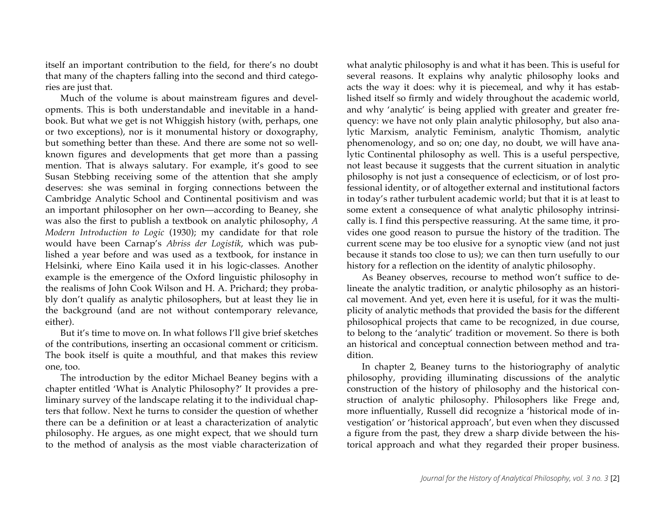itself an important contribution to the field, for there's no doubt that many of the chapters falling into the second and third categories are just that.

Much of the volume is about mainstream figures and developments. This is both understandable and inevitable in a handbook. But what we get is not Whiggish history (with, perhaps, one or two exceptions), nor is it monumental history or doxography, but something better than these. And there are some not so wellknown figures and developments that get more than a passing mention. That is always salutary. For example, it's good to see Susan Stebbing receiving some of the attention that she amply deserves: she was seminal in forging connections between the Cambridge Analytic School and Continental positivism and was an important philosopher on her own—according to Beaney, she was also the first to publish a textbook on analytic philosophy, *A Modern Introduction to Logic* (1930); my candidate for that role would have been Carnap's *Abriss der Logistik*, which was published a year before and was used as a textbook, for instance in Helsinki, where Eino Kaila used it in his logic-classes. Another example is the emergence of the Oxford linguistic philosophy in the realisms of John Cook Wilson and H. A. Prichard; they probably don't qualify as analytic philosophers, but at least they lie in the background (and are not without contemporary relevance, either).

But it's time to move on. In what follows I'll give brief sketches of the contributions, inserting an occasional comment or criticism. The book itself is quite a mouthful, and that makes this review one, too.

The introduction by the editor Michael Beaney begins with a chapter entitled 'What is Analytic Philosophy?' It provides a preliminary survey of the landscape relating it to the individual chapters that follow. Next he turns to consider the question of whether there can be a definition or at least a characterization of analytic philosophy. He argues, as one might expect, that we should turn to the method of analysis as the most viable characterization of what analytic philosophy is and what it has been. This is useful for several reasons. It explains why analytic philosophy looks and acts the way it does: why it is piecemeal, and why it has established itself so firmly and widely throughout the academic world, and why 'analytic' is being applied with greater and greater frequency: we have not only plain analytic philosophy, but also analytic Marxism, analytic Feminism, analytic Thomism, analytic phenomenology, and so on; one day, no doubt, we will have analytic Continental philosophy as well. This is a useful perspective, not least because it suggests that the current situation in analytic philosophy is not just a consequence of eclecticism, or of lost professional identity, or of altogether external and institutional factors in today's rather turbulent academic world; but that it is at least to some extent a consequence of what analytic philosophy intrinsically is. I find this perspective reassuring. At the same time, it provides one good reason to pursue the history of the tradition. The current scene may be too elusive for a synoptic view (and not just because it stands too close to us); we can then turn usefully to our history for a reflection on the identity of analytic philosophy.

As Beaney observes, recourse to method won't suffice to delineate the analytic tradition, or analytic philosophy as an historical movement. And yet, even here it is useful, for it was the multiplicity of analytic methods that provided the basis for the different philosophical projects that came to be recognized, in due course, to belong to the 'analytic' tradition or movement. So there is both an historical and conceptual connection between method and tradition.

In chapter 2, Beaney turns to the historiography of analytic philosophy, providing illuminating discussions of the analytic construction of the history of philosophy and the historical construction of analytic philosophy. Philosophers like Frege and, more influentially, Russell did recognize a 'historical mode of investigation' or 'historical approach', but even when they discussed a figure from the past, they drew a sharp divide between the historical approach and what they regarded their proper business.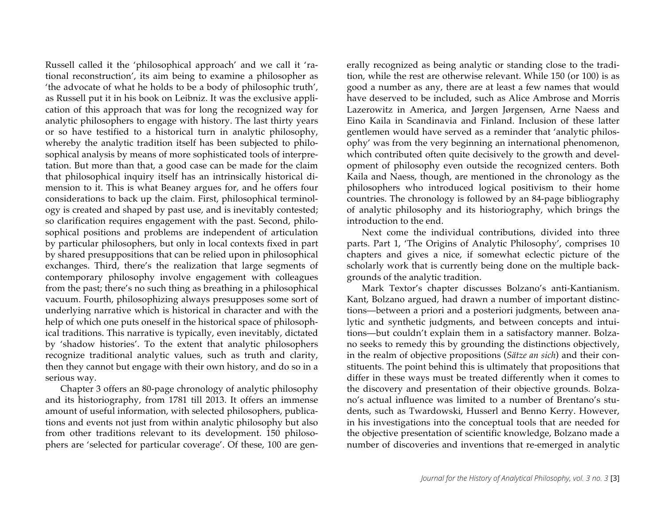Russell called it the 'philosophical approach' and we call it 'rational reconstruction', its aim being to examine a philosopher as 'the advocate of what he holds to be a body of philosophic truth', as Russell put it in his book on Leibniz. It was the exclusive application of this approach that was for long the recognized way for analytic philosophers to engage with history. The last thirty years or so have testified to a historical turn in analytic philosophy, whereby the analytic tradition itself has been subjected to philosophical analysis by means of more sophisticated tools of interpretation. But more than that, a good case can be made for the claim that philosophical inquiry itself has an intrinsically historical dimension to it. This is what Beaney argues for, and he offers four considerations to back up the claim. First, philosophical terminology is created and shaped by past use, and is inevitably contested; so clarification requires engagement with the past. Second, philosophical positions and problems are independent of articulation by particular philosophers, but only in local contexts fixed in part by shared presuppositions that can be relied upon in philosophical exchanges. Third, there's the realization that large segments of contemporary philosophy involve engagement with colleagues from the past; there's no such thing as breathing in a philosophical vacuum. Fourth, philosophizing always presupposes some sort of underlying narrative which is historical in character and with the help of which one puts oneself in the historical space of philosophical traditions. This narrative is typically, even inevitably, dictated by 'shadow histories'. To the extent that analytic philosophers recognize traditional analytic values, such as truth and clarity, then they cannot but engage with their own history, and do so in a serious way.

Chapter 3 offers an 80-page chronology of analytic philosophy and its historiography, from 1781 till 2013. It offers an immense amount of useful information, with selected philosophers, publications and events not just from within analytic philosophy but also from other traditions relevant to its development. 150 philosophers are 'selected for particular coverage'. Of these, 100 are generally recognized as being analytic or standing close to the tradition, while the rest are otherwise relevant. While 150 (or 100) is as good a number as any, there are at least a few names that would have deserved to be included, such as Alice Ambrose and Morris Lazerowitz in America, and Jørgen Jørgensen, Arne Naess and Eino Kaila in Scandinavia and Finland. Inclusion of these latter gentlemen would have served as a reminder that 'analytic philosophy' was from the very beginning an international phenomenon, which contributed often quite decisively to the growth and development of philosophy even outside the recognized centers. Both Kaila and Naess, though, are mentioned in the chronology as the philosophers who introduced logical positivism to their home countries. The chronology is followed by an 84-page bibliography of analytic philosophy and its historiography, which brings the introduction to the end.

Next come the individual contributions, divided into three parts. Part 1, 'The Origins of Analytic Philosophy', comprises 10 chapters and gives a nice, if somewhat eclectic picture of the scholarly work that is currently being done on the multiple backgrounds of the analytic tradition.

Mark Textor's chapter discusses Bolzano's anti-Kantianism. Kant, Bolzano argued, had drawn a number of important distinctions—between a priori and a posteriori judgments, between analytic and synthetic judgments, and between concepts and intuitions—but couldn't explain them in a satisfactory manner. Bolzano seeks to remedy this by grounding the distinctions objectively, in the realm of objective propositions (*Sätze an sich*) and their constituents. The point behind this is ultimately that propositions that differ in these ways must be treated differently when it comes to the discovery and presentation of their objective grounds. Bolzano's actual influence was limited to a number of Brentano's students, such as Twardowski, Husserl and Benno Kerry. However, in his investigations into the conceptual tools that are needed for the objective presentation of scientific knowledge, Bolzano made a number of discoveries and inventions that re-emerged in analytic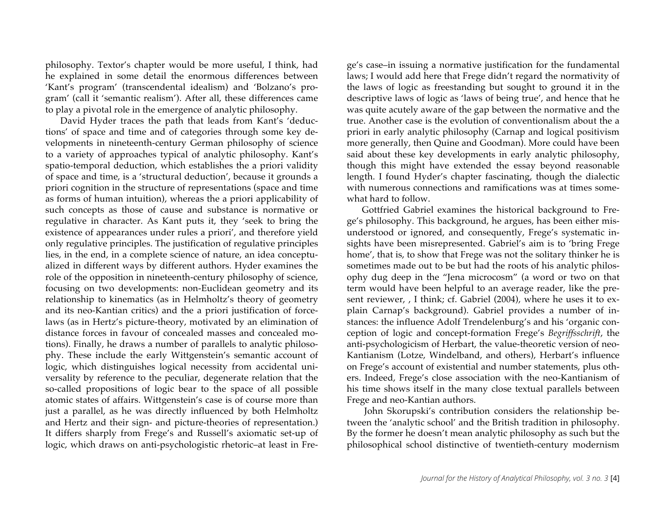philosophy. Textor's chapter would be more useful, I think, had he explained in some detail the enormous differences between 'Kant's program' (transcendental idealism) and 'Bolzano's program' (call it 'semantic realism'). After all, these differences came to play a pivotal role in the emergence of analytic philosophy.

David Hyder traces the path that leads from Kant's 'deductions' of space and time and of categories through some key developments in nineteenth-century German philosophy of science to a variety of approaches typical of analytic philosophy. Kant's spatio-temporal deduction, which establishes the a priori validity of space and time, is a 'structural deduction', because it grounds a priori cognition in the structure of representations (space and time as forms of human intuition), whereas the a priori applicability of such concepts as those of cause and substance is normative or regulative in character. As Kant puts it, they 'seek to bring the existence of appearances under rules a priori', and therefore yield only regulative principles. The justification of regulative principles lies, in the end, in a complete science of nature, an idea conceptualized in different ways by different authors. Hyder examines the role of the opposition in nineteenth-century philosophy of science, focusing on two developments: non-Euclidean geometry and its relationship to kinematics (as in Helmholtz's theory of geometry and its neo-Kantian critics) and the a priori justification of forcelaws (as in Hertz's picture-theory, motivated by an elimination of distance forces in favour of concealed masses and concealed motions). Finally, he draws a number of parallels to analytic philosophy. These include the early Wittgenstein's semantic account of logic, which distinguishes logical necessity from accidental universality by reference to the peculiar, degenerate relation that the so-called propositions of logic bear to the space of all possible atomic states of affairs. Wittgenstein's case is of course more than just a parallel, as he was directly influenced by both Helmholtz and Hertz and their sign- and picture-theories of representation.) It differs sharply from Frege's and Russell's axiomatic set-up of logic, which draws on anti-psychologistic rhetoric–at least in Frege's case–in issuing a normative justification for the fundamental laws; I would add here that Frege didn't regard the normativity of the laws of logic as freestanding but sought to ground it in the descriptive laws of logic as 'laws of being true', and hence that he was quite acutely aware of the gap between the normative and the true. Another case is the evolution of conventionalism about the a priori in early analytic philosophy (Carnap and logical positivism more generally, then Quine and Goodman). More could have been said about these key developments in early analytic philosophy, though this might have extended the essay beyond reasonable length. I found Hyder's chapter fascinating, though the dialectic with numerous connections and ramifications was at times somewhat hard to follow.

Gottfried Gabriel examines the historical background to Frege's philosophy. This background, he argues, has been either misunderstood or ignored, and consequently, Frege's systematic insights have been misrepresented. Gabriel's aim is to 'bring Frege home', that is, to show that Frege was not the solitary thinker he is sometimes made out to be but had the roots of his analytic philosophy dug deep in the "Jena microcosm" (a word or two on that term would have been helpful to an average reader, like the present reviewer, , I think; cf. Gabriel (2004), where he uses it to explain Carnap's background). Gabriel provides a number of instances: the influence Adolf Trendelenburg's and his 'organic conception of logic and concept-formation Frege's *Begriffsschrift*, the anti-psychologicism of Herbart, the value-theoretic version of neo-Kantianism (Lotze, Windelband, and others), Herbart's influence on Frege's account of existential and number statements, plus others. Indeed, Frege's close association with the neo-Kantianism of his time shows itself in the many close textual parallels between Frege and neo-Kantian authors.

John Skorupski's contribution considers the relationship between the 'analytic school' and the British tradition in philosophy. By the former he doesn't mean analytic philosophy as such but the philosophical school distinctive of twentieth-century modernism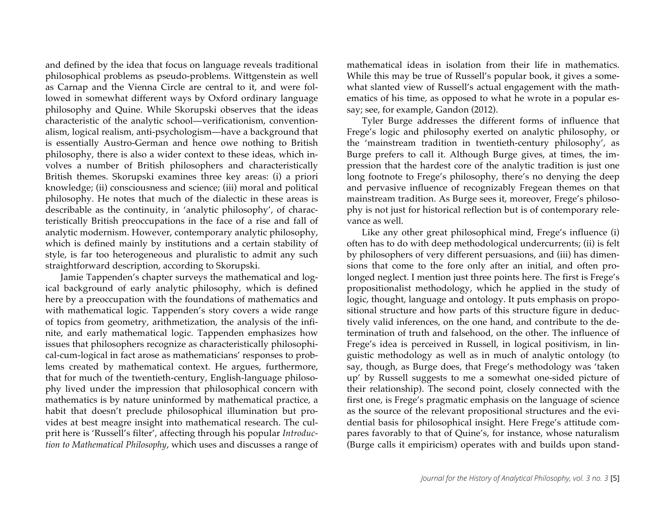and defined by the idea that focus on language reveals traditional philosophical problems as pseudo-problems. Wittgenstein as well as Carnap and the Vienna Circle are central to it, and were followed in somewhat different ways by Oxford ordinary language philosophy and Quine. While Skorupski observes that the ideas characteristic of the analytic school—verificationism, conventionalism, logical realism, anti-psychologism—have a background that is essentially Austro-German and hence owe nothing to British philosophy, there is also a wider context to these ideas, which involves a number of British philosophers and characteristically British themes. Skorupski examines three key areas: (i) a priori knowledge; (ii) consciousness and science; (iii) moral and political philosophy. He notes that much of the dialectic in these areas is describable as the continuity, in 'analytic philosophy', of characteristically British preoccupations in the face of a rise and fall of analytic modernism. However, contemporary analytic philosophy, which is defined mainly by institutions and a certain stability of style, is far too heterogeneous and pluralistic to admit any such straightforward description, according to Skorupski.

Jamie Tappenden's chapter surveys the mathematical and logical background of early analytic philosophy, which is defined here by a preoccupation with the foundations of mathematics and with mathematical logic. Tappenden's story covers a wide range of topics from geometry, arithmetization, the analysis of the infinite, and early mathematical logic. Tappenden emphasizes how issues that philosophers recognize as characteristically philosophical-cum-logical in fact arose as mathematicians' responses to problems created by mathematical context. He argues, furthermore, that for much of the twentieth-century, English-language philosophy lived under the impression that philosophical concern with mathematics is by nature uninformed by mathematical practice, a habit that doesn't preclude philosophical illumination but provides at best meagre insight into mathematical research. The culprit here is 'Russell's filter', affecting through his popular *Introduction to Mathematical Philosophy*, which uses and discusses a range of

mathematical ideas in isolation from their life in mathematics. While this may be true of Russell's popular book, it gives a somewhat slanted view of Russell's actual engagement with the mathematics of his time, as opposed to what he wrote in a popular essay; see, for example, Gandon (2012).

Tyler Burge addresses the different forms of influence that Frege's logic and philosophy exerted on analytic philosophy, or the 'mainstream tradition in twentieth-century philosophy', as Burge prefers to call it. Although Burge gives, at times, the impression that the hardest core of the analytic tradition is just one long footnote to Frege's philosophy, there's no denying the deep and pervasive influence of recognizably Fregean themes on that mainstream tradition. As Burge sees it, moreover, Frege's philosophy is not just for historical reflection but is of contemporary relevance as well.

Like any other great philosophical mind, Frege's influence (i) often has to do with deep methodological undercurrents; (ii) is felt by philosophers of very different persuasions, and (iii) has dimensions that come to the fore only after an initial, and often prolonged neglect. I mention just three points here. The first is Frege's propositionalist methodology, which he applied in the study of logic, thought, language and ontology. It puts emphasis on propositional structure and how parts of this structure figure in deductively valid inferences, on the one hand, and contribute to the determination of truth and falsehood, on the other. The influence of Frege's idea is perceived in Russell, in logical positivism, in linguistic methodology as well as in much of analytic ontology (to say, though, as Burge does, that Frege's methodology was 'taken up' by Russell suggests to me a somewhat one-sided picture of their relationship). The second point, closely connected with the first one, is Frege's pragmatic emphasis on the language of science as the source of the relevant propositional structures and the evidential basis for philosophical insight. Here Frege's attitude compares favorably to that of Quine's, for instance, whose naturalism (Burge calls it empiricism) operates with and builds upon stand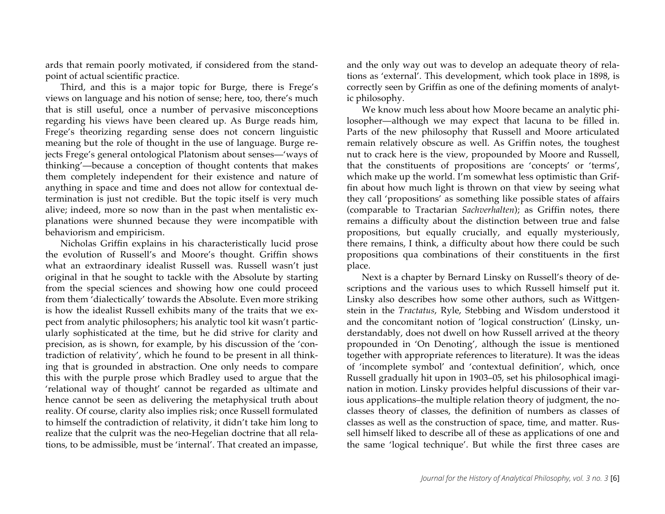ards that remain poorly motivated, if considered from the standpoint of actual scientific practice.

Third, and this is a major topic for Burge, there is Frege's views on language and his notion of sense; here, too, there's much that is still useful, once a number of pervasive misconceptions regarding his views have been cleared up. As Burge reads him, Frege's theorizing regarding sense does not concern linguistic meaning but the role of thought in the use of language. Burge rejects Frege's general ontological Platonism about senses—'ways of thinking'—because a conception of thought contents that makes them completely independent for their existence and nature of anything in space and time and does not allow for contextual determination is just not credible. But the topic itself is very much alive; indeed, more so now than in the past when mentalistic explanations were shunned because they were incompatible with behaviorism and empiricism.

Nicholas Griffin explains in his characteristically lucid prose the evolution of Russell's and Moore's thought. Griffin shows what an extraordinary idealist Russell was. Russell wasn't just original in that he sought to tackle with the Absolute by starting from the special sciences and showing how one could proceed from them 'dialectically' towards the Absolute. Even more striking is how the idealist Russell exhibits many of the traits that we expect from analytic philosophers; his analytic tool kit wasn't particularly sophisticated at the time, but he did strive for clarity and precision, as is shown, for example, by his discussion of the 'contradiction of relativity', which he found to be present in all thinking that is grounded in abstraction. One only needs to compare this with the purple prose which Bradley used to argue that the 'relational way of thought' cannot be regarded as ultimate and hence cannot be seen as delivering the metaphysical truth about reality. Of course, clarity also implies risk; once Russell formulated to himself the contradiction of relativity, it didn't take him long to realize that the culprit was the neo-Hegelian doctrine that all relations, to be admissible, must be 'internal'. That created an impasse,

and the only way out was to develop an adequate theory of relations as 'external'. This development, which took place in 1898, is correctly seen by Griffin as one of the defining moments of analytic philosophy.

We know much less about how Moore became an analytic philosopher—although we may expect that lacuna to be filled in. Parts of the new philosophy that Russell and Moore articulated remain relatively obscure as well. As Griffin notes, the toughest nut to crack here is the view, propounded by Moore and Russell, that the constituents of propositions are 'concepts' or 'terms', which make up the world. I'm somewhat less optimistic than Griffin about how much light is thrown on that view by seeing what they call 'propositions' as something like possible states of affairs (comparable to Tractarian *Sachverhalten*); as Griffin notes, there remains a difficulty about the distinction between true and false propositions, but equally crucially, and equally mysteriously, there remains, I think, a difficulty about how there could be such propositions qua combinations of their constituents in the first place.

Next is a chapter by Bernard Linsky on Russell's theory of descriptions and the various uses to which Russell himself put it. Linsky also describes how some other authors, such as Wittgenstein in the *Tractatus*, Ryle, Stebbing and Wisdom understood it and the concomitant notion of 'logical construction' (Linsky, understandably, does not dwell on how Russell arrived at the theory propounded in 'On Denoting', although the issue is mentioned together with appropriate references to literature). It was the ideas of 'incomplete symbol' and 'contextual definition', which, once Russell gradually hit upon in 1903–05, set his philosophical imagination in motion. Linsky provides helpful discussions of their various applications–the multiple relation theory of judgment, the noclasses theory of classes, the definition of numbers as classes of classes as well as the construction of space, time, and matter. Russell himself liked to describe all of these as applications of one and the same 'logical technique'. But while the first three cases are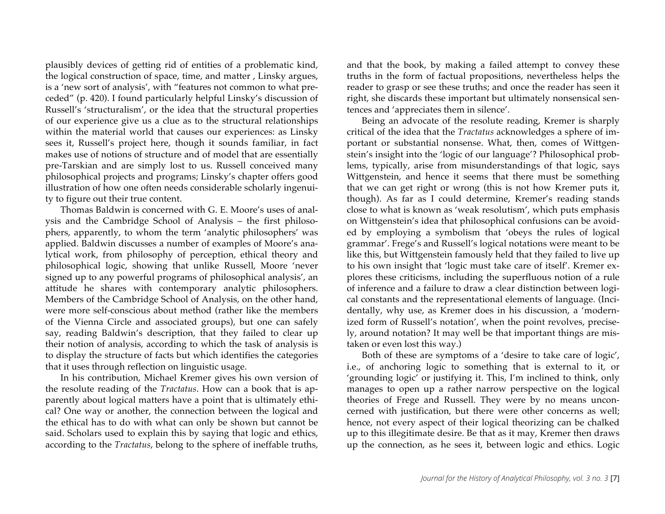plausibly devices of getting rid of entities of a problematic kind, the logical construction of space, time, and matter , Linsky argues, is a 'new sort of analysis', with "features not common to what preceded" (p. 420). I found particularly helpful Linsky's discussion of Russell's 'structuralism', or the idea that the structural properties of our experience give us a clue as to the structural relationships within the material world that causes our experiences: as Linsky sees it, Russell's project here, though it sounds familiar, in fact makes use of notions of structure and of model that are essentially pre-Tarskian and are simply lost to us. Russell conceived many philosophical projects and programs; Linsky's chapter offers good illustration of how one often needs considerable scholarly ingenuity to figure out their true content.

Thomas Baldwin is concerned with G. E. Moore's uses of analysis and the Cambridge School of Analysis – the first philosophers, apparently, to whom the term 'analytic philosophers' was applied. Baldwin discusses a number of examples of Moore's analytical work, from philosophy of perception, ethical theory and philosophical logic, showing that unlike Russell, Moore 'never signed up to any powerful programs of philosophical analysis', an attitude he shares with contemporary analytic philosophers. Members of the Cambridge School of Analysis, on the other hand, were more self-conscious about method (rather like the members of the Vienna Circle and associated groups), but one can safely say, reading Baldwin's description, that they failed to clear up their notion of analysis, according to which the task of analysis is to display the structure of facts but which identifies the categories that it uses through reflection on linguistic usage.

In his contribution, Michael Kremer gives his own version of the resolute reading of the *Tractatus*. How can a book that is apparently about logical matters have a point that is ultimately ethical? One way or another, the connection between the logical and the ethical has to do with what can only be shown but cannot be said. Scholars used to explain this by saying that logic and ethics, according to the *Tractatus*, belong to the sphere of ineffable truths,

and that the book, by making a failed attempt to convey these truths in the form of factual propositions, nevertheless helps the reader to grasp or see these truths; and once the reader has seen it right, she discards these important but ultimately nonsensical sentences and 'appreciates them in silence'.

Being an advocate of the resolute reading, Kremer is sharply critical of the idea that the *Tractatus* acknowledges a sphere of important or substantial nonsense. What, then, comes of Wittgenstein's insight into the 'logic of our language'? Philosophical problems, typically, arise from misunderstandings of that logic, says Wittgenstein, and hence it seems that there must be something that we can get right or wrong (this is not how Kremer puts it, though). As far as I could determine, Kremer's reading stands close to what is known as 'weak resolutism', which puts emphasis on Wittgenstein's idea that philosophical confusions can be avoided by employing a symbolism that 'obeys the rules of logical grammar'. Frege's and Russell's logical notations were meant to be like this, but Wittgenstein famously held that they failed to live up to his own insight that 'logic must take care of itself'. Kremer explores these criticisms, including the superfluous notion of a rule of inference and a failure to draw a clear distinction between logical constants and the representational elements of language. (Incidentally, why use, as Kremer does in his discussion, a 'modernized form of Russell's notation', when the point revolves, precisely, around notation? It may well be that important things are mistaken or even lost this way.)

Both of these are symptoms of a 'desire to take care of logic', i.e., of anchoring logic to something that is external to it, or 'grounding logic' or justifying it. This, I'm inclined to think, only manages to open up a rather narrow perspective on the logical theories of Frege and Russell. They were by no means unconcerned with justification, but there were other concerns as well; hence, not every aspect of their logical theorizing can be chalked up to this illegitimate desire. Be that as it may, Kremer then draws up the connection, as he sees it, between logic and ethics. Logic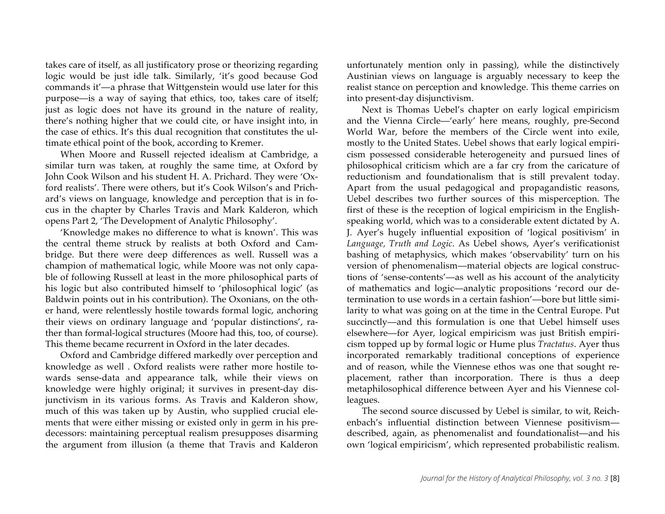takes care of itself, as all justificatory prose or theorizing regarding logic would be just idle talk. Similarly, 'it's good because God commands it'—a phrase that Wittgenstein would use later for this purpose—is a way of saying that ethics, too, takes care of itself; just as logic does not have its ground in the nature of reality, there's nothing higher that we could cite, or have insight into, in the case of ethics. It's this dual recognition that constitutes the ultimate ethical point of the book, according to Kremer.

When Moore and Russell rejected idealism at Cambridge, a similar turn was taken, at roughly the same time, at Oxford by John Cook Wilson and his student H. A. Prichard. They were 'Oxford realists'. There were others, but it's Cook Wilson's and Prichard's views on language, knowledge and perception that is in focus in the chapter by Charles Travis and Mark Kalderon, which opens Part 2, 'The Development of Analytic Philosophy'.

'Knowledge makes no difference to what is known'. This was the central theme struck by realists at both Oxford and Cambridge. But there were deep differences as well. Russell was a champion of mathematical logic, while Moore was not only capable of following Russell at least in the more philosophical parts of his logic but also contributed himself to 'philosophical logic' (as Baldwin points out in his contribution). The Oxonians, on the other hand, were relentlessly hostile towards formal logic, anchoring their views on ordinary language and 'popular distinctions', rather than formal-logical structures (Moore had this, too, of course). This theme became recurrent in Oxford in the later decades.

Oxford and Cambridge differed markedly over perception and knowledge as well . Oxford realists were rather more hostile towards sense-data and appearance talk, while their views on knowledge were highly original; it survives in present-day disjunctivism in its various forms. As Travis and Kalderon show, much of this was taken up by Austin, who supplied crucial elements that were either missing or existed only in germ in his predecessors: maintaining perceptual realism presupposes disarming the argument from illusion (a theme that Travis and Kalderon unfortunately mention only in passing), while the distinctively Austinian views on language is arguably necessary to keep the realist stance on perception and knowledge. This theme carries on into present-day disjunctivism.

Next is Thomas Uebel's chapter on early logical empiricism and the Vienna Circle—'early' here means, roughly, pre-Second World War, before the members of the Circle went into exile, mostly to the United States. Uebel shows that early logical empiricism possessed considerable heterogeneity and pursued lines of philosophical criticism which are a far cry from the caricature of reductionism and foundationalism that is still prevalent today. Apart from the usual pedagogical and propagandistic reasons, Uebel describes two further sources of this misperception. The first of these is the reception of logical empiricism in the Englishspeaking world, which was to a considerable extent dictated by A. J. Ayer's hugely influential exposition of 'logical positivism' in *Language, Truth and Logic*. As Uebel shows, Ayer's verificationist bashing of metaphysics, which makes 'observability' turn on his version of phenomenalism—material objects are logical constructions of 'sense-contents'—as well as his account of the analyticity of mathematics and logic—analytic propositions 'record our determination to use words in a certain fashion'—bore but little similarity to what was going on at the time in the Central Europe. Put succinctly—and this formulation is one that Uebel himself uses elsewhere—for Ayer, logical empiricism was just British empiricism topped up by formal logic or Hume plus *Tractatus*. Ayer thus incorporated remarkably traditional conceptions of experience and of reason, while the Viennese ethos was one that sought replacement, rather than incorporation. There is thus a deep metaphilosophical difference between Ayer and his Viennese colleagues.

The second source discussed by Uebel is similar, to wit, Reichenbach's influential distinction between Viennese positivism described, again, as phenomenalist and foundationalist—and his own 'logical empiricism', which represented probabilistic realism.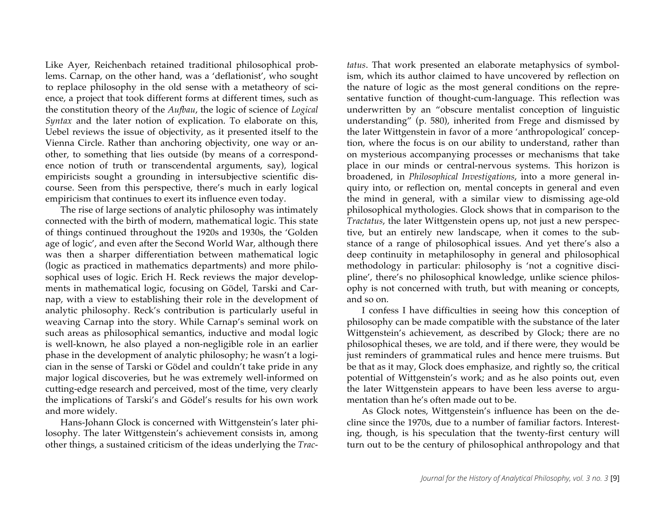Like Ayer, Reichenbach retained traditional philosophical problems. Carnap, on the other hand, was a 'deflationist', who sought to replace philosophy in the old sense with a metatheory of science, a project that took different forms at different times, such as the constitution theory of the *Aufbau*, the logic of science of *Logical Syntax* and the later notion of explication. To elaborate on this, Uebel reviews the issue of objectivity, as it presented itself to the Vienna Circle. Rather than anchoring objectivity, one way or another, to something that lies outside (by means of a correspondence notion of truth or transcendental arguments, say), logical empiricists sought a grounding in intersubjective scientific discourse. Seen from this perspective, there's much in early logical empiricism that continues to exert its influence even today.

The rise of large sections of analytic philosophy was intimately connected with the birth of modern, mathematical logic. This state of things continued throughout the 1920s and 1930s, the 'Golden age of logic', and even after the Second World War, although there was then a sharper differentiation between mathematical logic (logic as practiced in mathematics departments) and more philosophical uses of logic. Erich H. Reck reviews the major developments in mathematical logic, focusing on Gödel, Tarski and Carnap, with a view to establishing their role in the development of analytic philosophy. Reck's contribution is particularly useful in weaving Carnap into the story. While Carnap's seminal work on such areas as philosophical semantics, inductive and modal logic is well-known, he also played a non-negligible role in an earlier phase in the development of analytic philosophy; he wasn't a logician in the sense of Tarski or Gödel and couldn't take pride in any major logical discoveries, but he was extremely well-informed on cutting-edge research and perceived, most of the time, very clearly the implications of Tarski's and Gödel's results for his own work and more widely.

Hans-Johann Glock is concerned with Wittgenstein's later philosophy. The later Wittgenstein's achievement consists in, among other things, a sustained criticism of the ideas underlying the *Trac-* *tatus*. That work presented an elaborate metaphysics of symbolism, which its author claimed to have uncovered by reflection on the nature of logic as the most general conditions on the representative function of thought-cum-language. This reflection was underwritten by an "obscure mentalist conception of linguistic understanding" (p. 580), inherited from Frege and dismissed by the later Wittgenstein in favor of a more 'anthropological' conception, where the focus is on our ability to understand, rather than on mysterious accompanying processes or mechanisms that take place in our minds or central-nervous systems. This horizon is broadened, in *Philosophical Investigations*, into a more general inquiry into, or reflection on, mental concepts in general and even the mind in general, with a similar view to dismissing age-old philosophical mythologies. Glock shows that in comparison to the *Tractatus*, the later Wittgenstein opens up, not just a new perspective, but an entirely new landscape, when it comes to the substance of a range of philosophical issues. And yet there's also a deep continuity in metaphilosophy in general and philosophical methodology in particular: philosophy is 'not a cognitive discipline', there's no philosophical knowledge, unlike science philosophy is not concerned with truth, but with meaning or concepts, and so on.

I confess I have difficulties in seeing how this conception of philosophy can be made compatible with the substance of the later Wittgenstein's achievement, as described by Glock; there are no philosophical theses, we are told, and if there were, they would be just reminders of grammatical rules and hence mere truisms. But be that as it may, Glock does emphasize, and rightly so, the critical potential of Wittgenstein's work; and as he also points out, even the later Wittgenstein appears to have been less averse to argumentation than he's often made out to be.

As Glock notes, Wittgenstein's influence has been on the decline since the 1970s, due to a number of familiar factors. Interesting, though, is his speculation that the twenty-first century will turn out to be the century of philosophical anthropology and that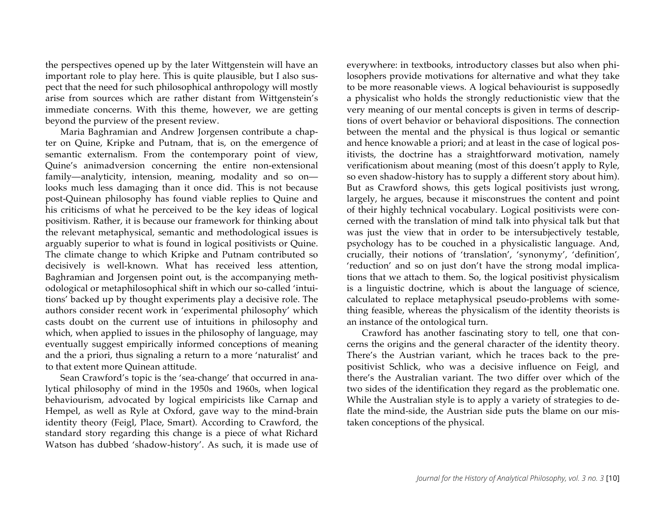the perspectives opened up by the later Wittgenstein will have an important role to play here. This is quite plausible, but I also suspect that the need for such philosophical anthropology will mostly arise from sources which are rather distant from Wittgenstein's immediate concerns. With this theme, however, we are getting beyond the purview of the present review.

Maria Baghramian and Andrew Jorgensen contribute a chapter on Quine, Kripke and Putnam, that is, on the emergence of semantic externalism. From the contemporary point of view, Quine's animadversion concerning the entire non-extensional family—analyticity, intension, meaning, modality and so on looks much less damaging than it once did. This is not because post-Quinean philosophy has found viable replies to Quine and his criticisms of what he perceived to be the key ideas of logical positivism. Rather, it is because our framework for thinking about the relevant metaphysical, semantic and methodological issues is arguably superior to what is found in logical positivists or Quine. The climate change to which Kripke and Putnam contributed so decisively is well-known. What has received less attention, Baghramian and Jorgensen point out, is the accompanying methodological or metaphilosophical shift in which our so-called 'intuitions' backed up by thought experiments play a decisive role. The authors consider recent work in 'experimental philosophy' which casts doubt on the current use of intuitions in philosophy and which, when applied to issues in the philosophy of language, may eventually suggest empirically informed conceptions of meaning and the a priori, thus signaling a return to a more 'naturalist' and to that extent more Quinean attitude.

Sean Crawford's topic is the 'sea-change' that occurred in analytical philosophy of mind in the 1950s and 1960s, when logical behaviourism, advocated by logical empiricists like Carnap and Hempel, as well as Ryle at Oxford, gave way to the mind-brain identity theory (Feigl, Place, Smart). According to Crawford, the standard story regarding this change is a piece of what Richard Watson has dubbed 'shadow-history'. As such, it is made use of everywhere: in textbooks, introductory classes but also when philosophers provide motivations for alternative and what they take to be more reasonable views. A logical behaviourist is supposedly a physicalist who holds the strongly reductionistic view that the very meaning of our mental concepts is given in terms of descriptions of overt behavior or behavioral dispositions. The connection between the mental and the physical is thus logical or semantic and hence knowable a priori; and at least in the case of logical positivists, the doctrine has a straightforward motivation, namely verificationism about meaning (most of this doesn't apply to Ryle, so even shadow-history has to supply a different story about him). But as Crawford shows, this gets logical positivists just wrong, largely, he argues, because it misconstrues the content and point of their highly technical vocabulary. Logical positivists were concerned with the translation of mind talk into physical talk but that was just the view that in order to be intersubjectively testable, psychology has to be couched in a physicalistic language. And, crucially, their notions of 'translation', 'synonymy', 'definition', 'reduction' and so on just don't have the strong modal implications that we attach to them. So, the logical positivist physicalism is a linguistic doctrine, which is about the language of science, calculated to replace metaphysical pseudo-problems with something feasible, whereas the physicalism of the identity theorists is an instance of the ontological turn.

Crawford has another fascinating story to tell, one that concerns the origins and the general character of the identity theory. There's the Austrian variant, which he traces back to the prepositivist Schlick, who was a decisive influence on Feigl, and there's the Australian variant. The two differ over which of the two sides of the identification they regard as the problematic one. While the Australian style is to apply a variety of strategies to deflate the mind-side, the Austrian side puts the blame on our mistaken conceptions of the physical.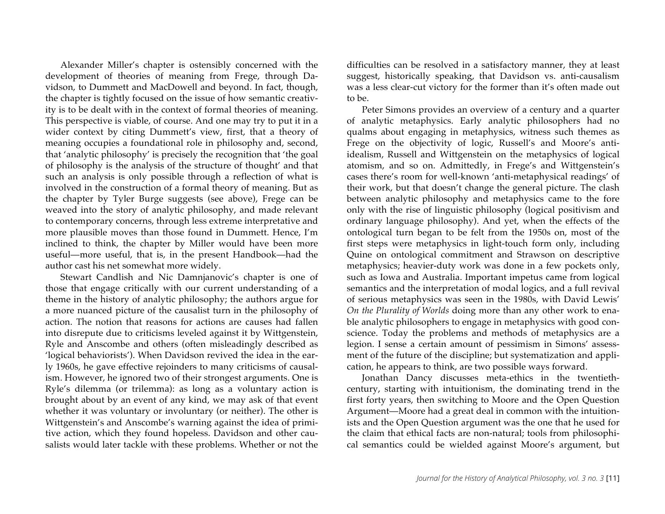Alexander Miller's chapter is ostensibly concerned with the development of theories of meaning from Frege, through Davidson, to Dummett and MacDowell and beyond. In fact, though, the chapter is tightly focused on the issue of how semantic creativity is to be dealt with in the context of formal theories of meaning. This perspective is viable, of course. And one may try to put it in a wider context by citing Dummett's view, first, that a theory of meaning occupies a foundational role in philosophy and, second, that 'analytic philosophy' is precisely the recognition that 'the goal of philosophy is the analysis of the structure of thought' and that such an analysis is only possible through a reflection of what is involved in the construction of a formal theory of meaning. But as the chapter by Tyler Burge suggests (see above), Frege can be weaved into the story of analytic philosophy, and made relevant to contemporary concerns, through less extreme interpretative and more plausible moves than those found in Dummett. Hence, I'm inclined to think, the chapter by Miller would have been more useful—more useful, that is, in the present Handbook—had the author cast his net somewhat more widely.

Stewart Candlish and Nic Damnjanovic's chapter is one of those that engage critically with our current understanding of a theme in the history of analytic philosophy; the authors argue for a more nuanced picture of the causalist turn in the philosophy of action. The notion that reasons for actions are causes had fallen into disrepute due to criticisms leveled against it by Wittgenstein, Ryle and Anscombe and others (often misleadingly described as 'logical behaviorists'). When Davidson revived the idea in the early 1960s, he gave effective rejoinders to many criticisms of causalism. However, he ignored two of their strongest arguments. One is Ryle's dilemma (or trilemma): as long as a voluntary action is brought about by an event of any kind, we may ask of that event whether it was voluntary or involuntary (or neither). The other is Wittgenstein's and Anscombe's warning against the idea of primitive action, which they found hopeless. Davidson and other causalists would later tackle with these problems. Whether or not the difficulties can be resolved in a satisfactory manner, they at least suggest, historically speaking, that Davidson vs. anti-causalism was a less clear-cut victory for the former than it's often made out to be.

Peter Simons provides an overview of a century and a quarter of analytic metaphysics. Early analytic philosophers had no qualms about engaging in metaphysics, witness such themes as Frege on the objectivity of logic, Russell's and Moore's antiidealism, Russell and Wittgenstein on the metaphysics of logical atomism, and so on. Admittedly, in Frege's and Wittgenstein's cases there's room for well-known 'anti-metaphysical readings' of their work, but that doesn't change the general picture. The clash between analytic philosophy and metaphysics came to the fore only with the rise of linguistic philosophy (logical positivism and ordinary language philosophy). And yet, when the effects of the ontological turn began to be felt from the 1950s on, most of the first steps were metaphysics in light-touch form only, including Quine on ontological commitment and Strawson on descriptive metaphysics; heavier-duty work was done in a few pockets only, such as Iowa and Australia. Important impetus came from logical semantics and the interpretation of modal logics, and a full revival of serious metaphysics was seen in the 1980s, with David Lewis' *On the Plurality of Worlds* doing more than any other work to enable analytic philosophers to engage in metaphysics with good conscience. Today the problems and methods of metaphysics are a legion. I sense a certain amount of pessimism in Simons' assessment of the future of the discipline; but systematization and application, he appears to think, are two possible ways forward.

Jonathan Dancy discusses meta-ethics in the twentiethcentury, starting with intuitionism, the dominating trend in the first forty years, then switching to Moore and the Open Question Argument—Moore had a great deal in common with the intuitionists and the Open Question argument was the one that he used for the claim that ethical facts are non-natural; tools from philosophical semantics could be wielded against Moore's argument, but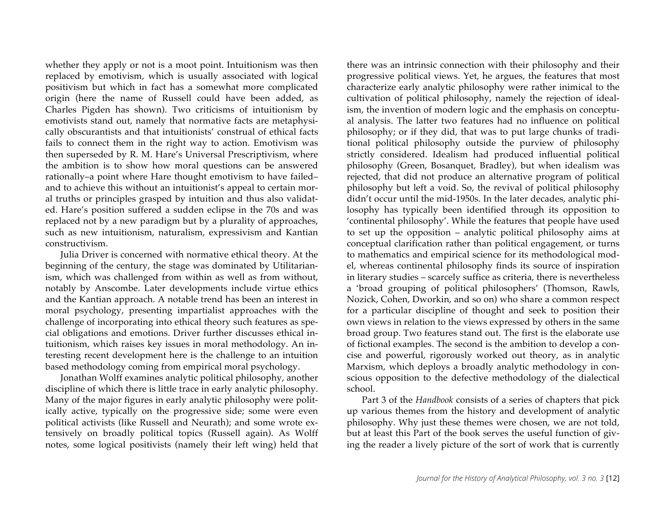whether they apply or not is a moot point. Intuitionism was then replaced by emotivism, which is usually associated with logical positivism but which in fact has a somewhat more complicated origin (here the name of Russell could have been added, as Charles Pigden has shown). Two criticisms of intuitionism by emotivists stand out, namely that normative facts are metaphysically obscurantists and that intuitionists' construal of ethical facts fails to connect them in the right way to action. Emotivism was then superseded by R. M. Hare's Universal Prescriptivism, where the ambition is to show how moral questions can be answered rationally–a point where Hare thought emotivism to have failed– and to achieve this without an intuitionist's appeal to certain moral truths or principles grasped by intuition and thus also validated. Hare's position suffered a sudden eclipse in the 70s and was replaced not by a new paradigm but by a plurality of approaches, such as new intuitionism, naturalism, expressivism and Kantian constructivism.

Julia Driver is concerned with normative ethical theory. At the beginning of the century, the stage was dominated by Utilitarianism, which was challenged from within as well as from without, notably by Anscombe. Later developments include virtue ethics and the Kantian approach. A notable trend has been an interest in moral psychology, presenting impartialist approaches with the challenge of incorporating into ethical theory such features as special obligations and emotions. Driver further discusses ethical intuitionism, which raises key issues in moral methodology. An interesting recent development here is the challenge to an intuition based methodology coming from empirical moral psychology.

Jonathan Wolff examines analytic political philosophy, another discipline of which there is little trace in early analytic philosophy. Many of the major figures in early analytic philosophy were politically active, typically on the progressive side; some were even political activists (like Russell and Neurath); and some wrote extensively on broadly political topics (Russell again). As Wolff notes, some logical positivists (namely their left wing) held that

there was an intrinsic connection with their philosophy and their progressive political views. Yet, he argues, the features that most characterize early analytic philosophy were rather inimical to the cultivation of political philosophy, namely the rejection of idealism, the invention of modern logic and the emphasis on conceptual analysis. The latter two features had no influence on political philosophy; or if they did, that was to put large chunks of traditional political philosophy outside the purview of philosophy strictly considered. Idealism had produced influential political philosophy (Green, Bosanquet, Bradley), but when idealism was rejected, that did not produce an alternative program of political philosophy but left a void. So, the revival of political philosophy didn't occur until the mid-1950s. In the later decades, analytic philosophy has typically been identified through its opposition to 'continental philosophy'. While the features that people have used to set up the opposition – analytic political philosophy aims at conceptual clarification rather than political engagement, or turns to mathematics and empirical science for its methodological model, whereas continental philosophy finds its source of inspiration in literary studies – scarcely suffice as criteria, there is nevertheless a 'broad grouping of political philosophers' (Thomson, Rawls, Nozick, Cohen, Dworkin, and so on) who share a common respect for a particular discipline of thought and seek to position their own views in relation to the views expressed by others in the same broad group. Two features stand out. The first is the elaborate use of fictional examples. The second is the ambition to develop a concise and powerful, rigorously worked out theory, as in analytic Marxism, which deploys a broadly analytic methodology in conscious opposition to the defective methodology of the dialectical school.

Part 3 of the *Handbook* consists of a series of chapters that pick up various themes from the history and development of analytic philosophy. Why just these themes were chosen, we are not told, but at least this Part of the book serves the useful function of giving the reader a lively picture of the sort of work that is currently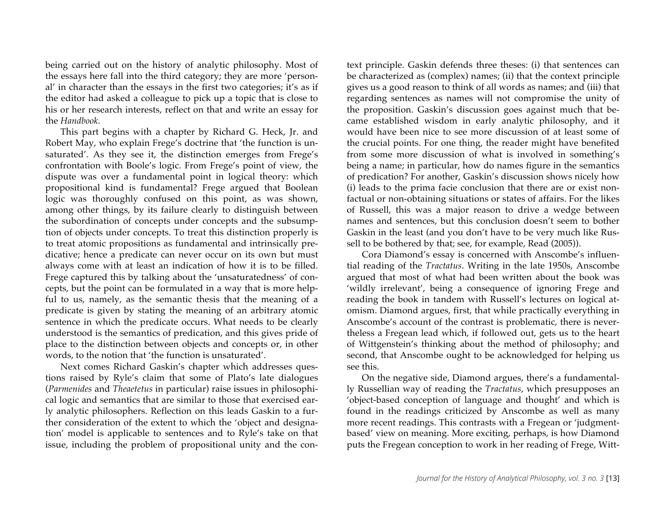being carried out on the history of analytic philosophy. Most of the essays here fall into the third category; they are more 'personal' in character than the essays in the first two categories; it's as if the editor had asked a colleague to pick up a topic that is close to his or her research interests, reflect on that and write an essay for the *Handbook*.

This part begins with a chapter by Richard G. Heck, Jr. and Robert May, who explain Frege's doctrine that 'the function is unsaturated'. As they see it, the distinction emerges from Frege's confrontation with Boole's logic. From Frege's point of view, the dispute was over a fundamental point in logical theory: which propositional kind is fundamental? Frege argued that Boolean logic was thoroughly confused on this point, as was shown, among other things, by its failure clearly to distinguish between the subordination of concepts under concepts and the subsumption of objects under concepts. To treat this distinction properly is to treat atomic propositions as fundamental and intrinsically predicative; hence a predicate can never occur on its own but must always come with at least an indication of how it is to be filled. Frege captured this by talking about the 'unsaturatedness' of concepts, but the point can be formulated in a way that is more helpful to us, namely, as the semantic thesis that the meaning of a predicate is given by stating the meaning of an arbitrary atomic sentence in which the predicate occurs. What needs to be clearly understood is the semantics of predication, and this gives pride of place to the distinction between objects and concepts or, in other words, to the notion that 'the function is unsaturated'.

Next comes Richard Gaskin's chapter which addresses questions raised by Ryle's claim that some of Plato's late dialogues (*Parmenides* and *Theaetetus* in particular) raise issues in philosophical logic and semantics that are similar to those that exercised early analytic philosophers. Reflection on this leads Gaskin to a further consideration of the extent to which the 'object and designation' model is applicable to sentences and to Ryle's take on that issue, including the problem of propositional unity and the context principle. Gaskin defends three theses: (i) that sentences can be characterized as (complex) names; (ii) that the context principle gives us a good reason to think of all words as names; and (iii) that regarding sentences as names will not compromise the unity of the proposition. Gaskin's discussion goes against much that became established wisdom in early analytic philosophy, and it would have been nice to see more discussion of at least some of the crucial points. For one thing, the reader might have benefited from some more discussion of what is involved in something's being a name; in particular, how do names figure in the semantics of predication? For another, Gaskin's discussion shows nicely how (i) leads to the prima facie conclusion that there are or exist nonfactual or non-obtaining situations or states of affairs. For the likes of Russell, this was a major reason to drive a wedge between names and sentences, but this conclusion doesn't seem to bother Gaskin in the least (and you don't have to be very much like Russell to be bothered by that; see, for example, Read (2005)).

Cora Diamond's essay is concerned with Anscombe's influential reading of the *Tractatus*. Writing in the late 1950s, Anscombe argued that most of what had been written about the book was 'wildly irrelevant', being a consequence of ignoring Frege and reading the book in tandem with Russell's lectures on logical atomism. Diamond argues, first, that while practically everything in Anscombe's account of the contrast is problematic, there is nevertheless a Fregean lead which, if followed out, gets us to the heart of Wittgenstein's thinking about the method of philosophy; and second, that Anscombe ought to be acknowledged for helping us see this.

On the negative side, Diamond argues, there's a fundamentally Russellian way of reading the *Tractatus*, which presupposes an 'object-based conception of language and thought' and which is found in the readings criticized by Anscombe as well as many more recent readings. This contrasts with a Fregean or 'judgmentbased' view on meaning. More exciting, perhaps, is how Diamond puts the Fregean conception to work in her reading of Frege, Witt-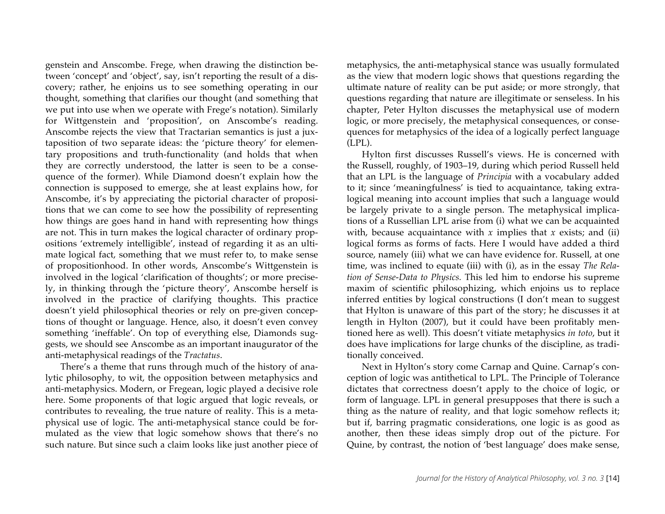genstein and Anscombe. Frege, when drawing the distinction between 'concept' and 'object', say, isn't reporting the result of a discovery; rather, he enjoins us to see something operating in our thought, something that clarifies our thought (and something that we put into use when we operate with Frege's notation). Similarly for Wittgenstein and 'proposition', on Anscombe's reading. Anscombe rejects the view that Tractarian semantics is just a juxtaposition of two separate ideas: the 'picture theory' for elementary propositions and truth-functionality (and holds that when they are correctly understood, the latter is seen to be a consequence of the former). While Diamond doesn't explain how the connection is supposed to emerge, she at least explains how, for Anscombe, it's by appreciating the pictorial character of propositions that we can come to see how the possibility of representing how things are goes hand in hand with representing how things are not. This in turn makes the logical character of ordinary propositions 'extremely intelligible', instead of regarding it as an ultimate logical fact, something that we must refer to, to make sense of propositionhood. In other words, Anscombe's Wittgenstein is involved in the logical 'clarification of thoughts'; or more precisely, in thinking through the 'picture theory', Anscombe herself is involved in the practice of clarifying thoughts. This practice doesn't yield philosophical theories or rely on pre-given conceptions of thought or language. Hence, also, it doesn't even convey something 'ineffable'. On top of everything else, Diamonds suggests, we should see Anscombe as an important inaugurator of the anti-metaphysical readings of the *Tractatus*.

There's a theme that runs through much of the history of analytic philosophy, to wit, the opposition between metaphysics and anti-metaphysics. Modern, or Fregean, logic played a decisive role here. Some proponents of that logic argued that logic reveals, or contributes to revealing, the true nature of reality. This is a metaphysical use of logic. The anti-metaphysical stance could be formulated as the view that logic somehow shows that there's no such nature. But since such a claim looks like just another piece of metaphysics, the anti-metaphysical stance was usually formulated as the view that modern logic shows that questions regarding the ultimate nature of reality can be put aside; or more strongly, that questions regarding that nature are illegitimate or senseless. In his chapter, Peter Hylton discusses the metaphysical use of modern logic, or more precisely, the metaphysical consequences, or consequences for metaphysics of the idea of a logically perfect language (LPL).

Hylton first discusses Russell's views. He is concerned with the Russell, roughly, of 1903–19, during which period Russell held that an LPL is the language of *Principia* with a vocabulary added to it; since 'meaningfulness' is tied to acquaintance, taking extralogical meaning into account implies that such a language would be largely private to a single person. The metaphysical implications of a Russellian LPL arise from (i) what we can be acquainted with, because acquaintance with  $x$  implies that  $x$  exists; and (ii) logical forms as forms of facts. Here I would have added a third source, namely (iii) what we can have evidence for. Russell, at one time, was inclined to equate (iii) with (i), as in the essay *The Relation of Sense-Data to Physics.* This led him to endorse his supreme maxim of scientific philosophizing, which enjoins us to replace inferred entities by logical constructions (I don't mean to suggest that Hylton is unaware of this part of the story; he discusses it at length in Hylton (2007), but it could have been profitably mentioned here as well). This doesn't vitiate metaphysics *in toto*, but it does have implications for large chunks of the discipline, as traditionally conceived.

Next in Hylton's story come Carnap and Quine. Carnap's conception of logic was antithetical to LPL. The Principle of Tolerance dictates that correctness doesn't apply to the choice of logic, or form of language. LPL in general presupposes that there is such a thing as the nature of reality, and that logic somehow reflects it; but if, barring pragmatic considerations, one logic is as good as another, then these ideas simply drop out of the picture. For Quine, by contrast, the notion of 'best language' does make sense,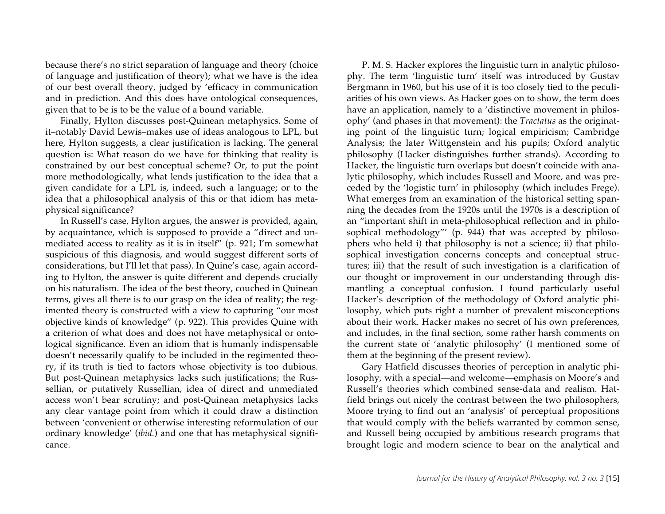because there's no strict separation of language and theory (choice of language and justification of theory); what we have is the idea of our best overall theory, judged by 'efficacy in communication and in prediction. And this does have ontological consequences, given that to be is to be the value of a bound variable.

Finally, Hylton discusses post-Quinean metaphysics. Some of it–notably David Lewis–makes use of ideas analogous to LPL, but here, Hylton suggests, a clear justification is lacking. The general question is: What reason do we have for thinking that reality is constrained by our best conceptual scheme? Or, to put the point more methodologically, what lends justification to the idea that a given candidate for a LPL is, indeed, such a language; or to the idea that a philosophical analysis of this or that idiom has metaphysical significance?

In Russell's case, Hylton argues, the answer is provided, again, by acquaintance, which is supposed to provide a "direct and unmediated access to reality as it is in itself" (p. 921; I'm somewhat suspicious of this diagnosis, and would suggest different sorts of considerations, but I'll let that pass). In Quine's case, again according to Hylton, the answer is quite different and depends crucially on his naturalism. The idea of the best theory, couched in Quinean terms, gives all there is to our grasp on the idea of reality; the regimented theory is constructed with a view to capturing "our most objective kinds of knowledge" (p. 922). This provides Quine with a criterion of what does and does not have metaphysical or ontological significance. Even an idiom that is humanly indispensable doesn't necessarily qualify to be included in the regimented theory, if its truth is tied to factors whose objectivity is too dubious. But post-Quinean metaphysics lacks such justifications; the Russellian, or putatively Russellian, idea of direct and unmediated access won't bear scrutiny; and post-Quinean metaphysics lacks any clear vantage point from which it could draw a distinction between 'convenient or otherwise interesting reformulation of our ordinary knowledge' (*ibid.*) and one that has metaphysical significance.

P. M. S. Hacker explores the linguistic turn in analytic philosophy. The term 'linguistic turn' itself was introduced by Gustav Bergmann in 1960, but his use of it is too closely tied to the peculiarities of his own views. As Hacker goes on to show, the term does have an application, namely to a 'distinctive movement in philosophy' (and phases in that movement): the *Tractatus* as the originating point of the linguistic turn; logical empiricism; Cambridge Analysis; the later Wittgenstein and his pupils; Oxford analytic philosophy (Hacker distinguishes further strands). According to Hacker, the linguistic turn overlaps but doesn't coincide with analytic philosophy, which includes Russell and Moore, and was preceded by the 'logistic turn' in philosophy (which includes Frege). What emerges from an examination of the historical setting spanning the decades from the 1920s until the 1970s is a description of an "important shift in meta-philosophical reflection and in philosophical methodology"' (p. 944) that was accepted by philosophers who held i) that philosophy is not a science; ii) that philosophical investigation concerns concepts and conceptual structures; iii) that the result of such investigation is a clarification of our thought or improvement in our understanding through dismantling a conceptual confusion. I found particularly useful Hacker's description of the methodology of Oxford analytic philosophy, which puts right a number of prevalent misconceptions about their work. Hacker makes no secret of his own preferences, and includes, in the final section, some rather harsh comments on the current state of 'analytic philosophy' (I mentioned some of them at the beginning of the present review).

Gary Hatfield discusses theories of perception in analytic philosophy, with a special—and welcome—emphasis on Moore's and Russell's theories which combined sense-data and realism. Hatfield brings out nicely the contrast between the two philosophers, Moore trying to find out an 'analysis' of perceptual propositions that would comply with the beliefs warranted by common sense, and Russell being occupied by ambitious research programs that brought logic and modern science to bear on the analytical and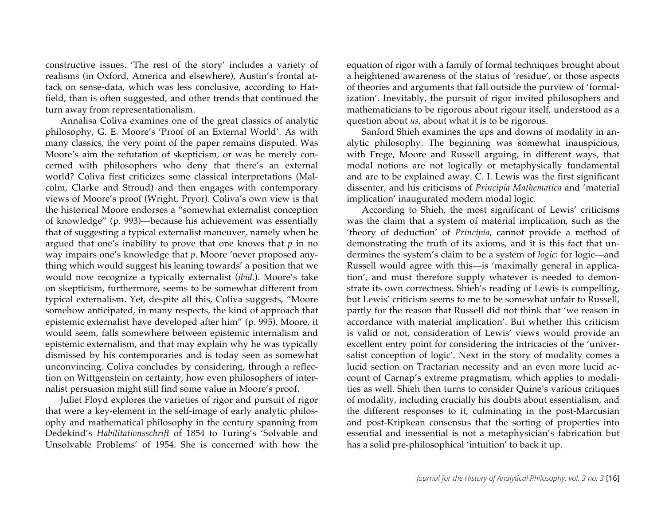constructive issues. 'The rest of the story' includes a variety of realisms (in Oxford, America and elsewhere), Austin's frontal attack on sense-data, which was less conclusive, according to Hatfield, than is often suggested, and other trends that continued the turn away from representationalism.

Annalisa Coliva examines one of the great classics of analytic philosophy, G. E. Moore's 'Proof of an External World'. As with many classics, the very point of the paper remains disputed. Was Moore's aim the refutation of skepticism, or was he merely concerned with philosophers who deny that there's an external world? Coliva first criticizes some classical interpretations (Malcolm, Clarke and Stroud) and then engages with contemporary views of Moore's proof (Wright, Pryor). Coliva's own view is that the historical Moore endorses a "somewhat externalist conception of knowledge" (p. 993)—because his achievement was essentially that of suggesting a typical externalist maneuver, namely when he argued that one's inability to prove that one knows that *p* in no way impairs one's knowledge that *p*. Moore 'never proposed anything which would suggest his leaning towards' a position that we would now recognize a typically externalist (*ibid.*). Moore's take on skepticism, furthermore, seems to be somewhat different from typical externalism. Yet, despite all this, Coliva suggests, "Moore somehow anticipated, in many respects, the kind of approach that epistemic externalist have developed after him" (p. 995). Moore, it would seem, falls somewhere between epistemic internalism and epistemic externalism, and that may explain why he was typically dismissed by his contemporaries and is today seen as somewhat unconvincing. Coliva concludes by considering, through a reflection on Wittgenstein on certainty, how even philosophers of internalist persuasion might still find some value in Moore's proof.

Juliet Floyd explores the varieties of rigor and pursuit of rigor that were a key-element in the self-image of early analytic philosophy and mathematical philosophy in the century spanning from Dedekind's *Habilitationsschrift* of 1854 to Turing's 'Solvable and Unsolvable Problems' of 1954. She is concerned with how the equation of rigor with a family of formal techniques brought about a heightened awareness of the status of 'residue', or those aspects of theories and arguments that fall outside the purview of 'formalization'. Inevitably, the pursuit of rigor invited philosophers and mathematicians to be rigorous about rigour itself, understood as a question about *us*, about what it is to be rigorous.

Sanford Shieh examines the ups and downs of modality in analytic philosophy. The beginning was somewhat inauspicious, with Frege, Moore and Russell arguing, in different ways, that modal notions are not logically or metaphysically fundamental and are to be explained away. C. I. Lewis was the first significant dissenter, and his criticisms of *Principia Mathematica* and 'material implication' inaugurated modern modal logic.

According to Shieh, the most significant of Lewis' criticisms was the claim that a system of material implication, such as the 'theory of deduction' of *Principia*, cannot provide a method of demonstrating the truth of its axioms, and it is this fact that undermines the system's claim to be a system of *logic*: for logic—and Russell would agree with this—is 'maximally general in application', and must therefore supply whatever is needed to demonstrate its own correctness. Shieh's reading of Lewis is compelling, but Lewis' criticism seems to me to be somewhat unfair to Russell, partly for the reason that Russell did not think that 'we reason in accordance with material implication'. But whether this criticism is valid or not, consideration of Lewis' views would provide an excellent entry point for considering the intricacies of the 'universalist conception of logic'. Next in the story of modality comes a lucid section on Tractarian necessity and an even more lucid account of Carnap's extreme pragmatism, which applies to modalities as well. Shieh then turns to consider Quine's various critiques of modality, including crucially his doubts about essentialism, and the different responses to it, culminating in the post-Marcusian and post-Kripkean consensus that the sorting of properties into essential and inessential is not a metaphysician's fabrication but has a solid pre-philosophical 'intuition' to back it up.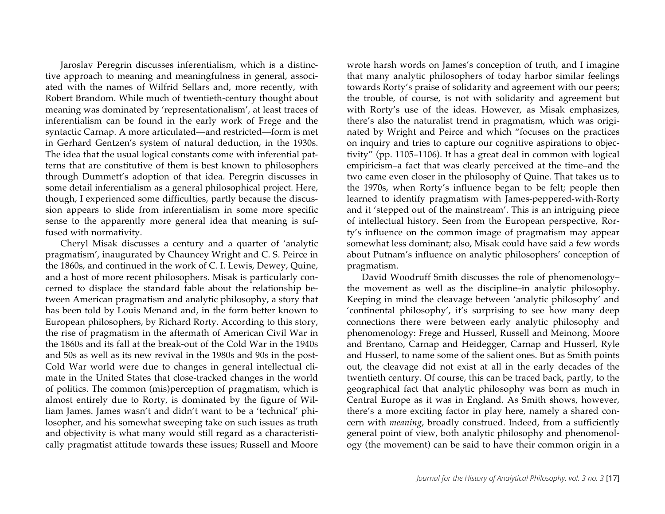Jaroslav Peregrin discusses inferentialism, which is a distinctive approach to meaning and meaningfulness in general, associated with the names of Wilfrid Sellars and, more recently, with Robert Brandom. While much of twentieth-century thought about meaning was dominated by 'representationalism', at least traces of inferentialism can be found in the early work of Frege and the syntactic Carnap. A more articulated—and restricted—form is met in Gerhard Gentzen's system of natural deduction, in the 1930s. The idea that the usual logical constants come with inferential patterns that are constitutive of them is best known to philosophers through Dummett's adoption of that idea. Peregrin discusses in some detail inferentialism as a general philosophical project. Here, though, I experienced some difficulties, partly because the discussion appears to slide from inferentialism in some more specific sense to the apparently more general idea that meaning is suffused with normativity.

Cheryl Misak discusses a century and a quarter of 'analytic pragmatism', inaugurated by Chauncey Wright and C. S. Peirce in the 1860s, and continued in the work of C. I. Lewis, Dewey, Quine, and a host of more recent philosophers. Misak is particularly concerned to displace the standard fable about the relationship between American pragmatism and analytic philosophy, a story that has been told by Louis Menand and, in the form better known to European philosophers, by Richard Rorty. According to this story, the rise of pragmatism in the aftermath of American Civil War in the 1860s and its fall at the break-out of the Cold War in the 1940s and 50s as well as its new revival in the 1980s and 90s in the post-Cold War world were due to changes in general intellectual climate in the United States that close-tracked changes in the world of politics. The common (mis)perception of pragmatism, which is almost entirely due to Rorty, is dominated by the figure of William James. James wasn't and didn't want to be a 'technical' philosopher, and his somewhat sweeping take on such issues as truth and objectivity is what many would still regard as a characteristically pragmatist attitude towards these issues; Russell and Moore

wrote harsh words on James's conception of truth, and I imagine that many analytic philosophers of today harbor similar feelings towards Rorty's praise of solidarity and agreement with our peers; the trouble, of course, is not with solidarity and agreement but with Rorty's use of the ideas. However, as Misak emphasizes, there's also the naturalist trend in pragmatism, which was originated by Wright and Peirce and which "focuses on the practices on inquiry and tries to capture our cognitive aspirations to objectivity" (pp. 1105–1106). It has a great deal in common with logical empiricism–a fact that was clearly perceived at the time–and the two came even closer in the philosophy of Quine. That takes us to the 1970s, when Rorty's influence began to be felt; people then learned to identify pragmatism with James-peppered-with-Rorty and it 'stepped out of the mainstream'. This is an intriguing piece of intellectual history. Seen from the European perspective, Rorty's influence on the common image of pragmatism may appear somewhat less dominant; also, Misak could have said a few words about Putnam's influence on analytic philosophers' conception of pragmatism.

David Woodruff Smith discusses the role of phenomenology– the movement as well as the discipline–in analytic philosophy. Keeping in mind the cleavage between 'analytic philosophy' and 'continental philosophy', it's surprising to see how many deep connections there were between early analytic philosophy and phenomenology: Frege and Husserl, Russell and Meinong, Moore and Brentano, Carnap and Heidegger, Carnap and Husserl, Ryle and Husserl, to name some of the salient ones. But as Smith points out, the cleavage did not exist at all in the early decades of the twentieth century. Of course, this can be traced back, partly, to the geographical fact that analytic philosophy was born as much in Central Europe as it was in England. As Smith shows, however, there's a more exciting factor in play here, namely a shared concern with *meaning*, broadly construed. Indeed, from a sufficiently general point of view, both analytic philosophy and phenomenology (the movement) can be said to have their common origin in a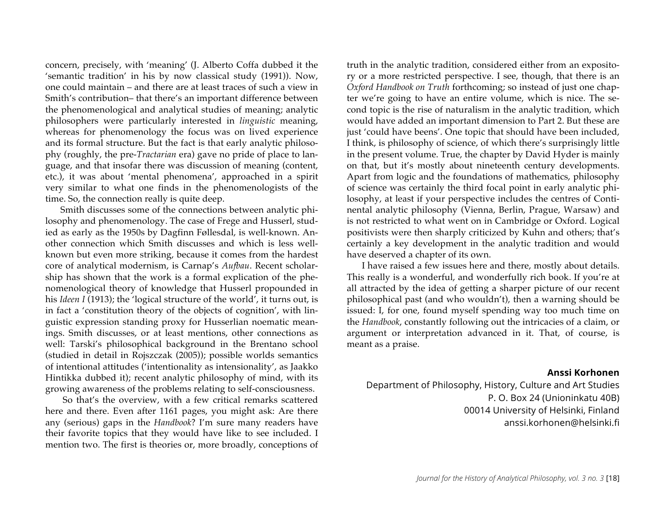concern, precisely, with 'meaning' (J. Alberto Coffa dubbed it the 'semantic tradition' in his by now classical study (1991)). Now, one could maintain – and there are at least traces of such a view in Smith's contribution– that there's an important difference between the phenomenological and analytical studies of meaning; analytic philosophers were particularly interested in *linguistic* meaning, whereas for phenomenology the focus was on lived experience and its formal structure. But the fact is that early analytic philosophy (roughly, the pre-*Tractarian* era) gave no pride of place to language, and that insofar there was discussion of meaning (content, etc.), it was about 'mental phenomena', approached in a spirit very similar to what one finds in the phenomenologists of the time. So, the connection really is quite deep.

Smith discusses some of the connections between analytic philosophy and phenomenology. The case of Frege and Husserl, studied as early as the 1950s by Dagfinn Føllesdal, is well-known. Another connection which Smith discusses and which is less wellknown but even more striking, because it comes from the hardest core of analytical modernism, is Carnap's *Aufbau*. Recent scholarship has shown that the work is a formal explication of the phenomenological theory of knowledge that Husserl propounded in his *Ideen I* (1913); the 'logical structure of the world', it turns out, is in fact a 'constitution theory of the objects of cognition', with linguistic expression standing proxy for Husserlian noematic meanings. Smith discusses, or at least mentions, other connections as well: Tarski's philosophical background in the Brentano school (studied in detail in Rojszczak (2005)); possible worlds semantics of intentional attitudes ('intentionality as intensionality', as Jaakko Hintikka dubbed it); recent analytic philosophy of mind, with its growing awareness of the problems relating to self-consciousness.

So that's the overview, with a few critical remarks scattered here and there. Even after 1161 pages, you might ask: Are there any (serious) gaps in the *Handbook*? I'm sure many readers have their favorite topics that they would have like to see included. I mention two. The first is theories or, more broadly, conceptions of truth in the analytic tradition, considered either from an expository or a more restricted perspective. I see, though, that there is an *Oxford Handbook on Truth* forthcoming; so instead of just one chapter we're going to have an entire volume, which is nice. The second topic is the rise of naturalism in the analytic tradition, which would have added an important dimension to Part 2. But these are just 'could have beens'. One topic that should have been included, I think, is philosophy of science, of which there's surprisingly little in the present volume. True, the chapter by David Hyder is mainly on that, but it's mostly about nineteenth century developments. Apart from logic and the foundations of mathematics, philosophy of science was certainly the third focal point in early analytic philosophy, at least if your perspective includes the centres of Continental analytic philosophy (Vienna, Berlin, Prague, Warsaw) and is not restricted to what went on in Cambridge or Oxford. Logical positivists were then sharply criticized by Kuhn and others; that's certainly a key development in the analytic tradition and would have deserved a chapter of its own.

I have raised a few issues here and there, mostly about details. This really is a wonderful, and wonderfully rich book. If you're at all attracted by the idea of getting a sharper picture of our recent philosophical past (and who wouldn't), then a warning should be issued: I, for one, found myself spending way too much time on the *Handbook*, constantly following out the intricacies of a claim, or argument or interpretation advanced in it. That, of course, is meant as a praise.

#### **Anssi Korhonen**

Department of Philosophy, History, Culture and Art Studies P. O. Box 24 (Unioninkatu 40B) 00014 University of Helsinki, Finland anssi.korhonen@helsinki.fi